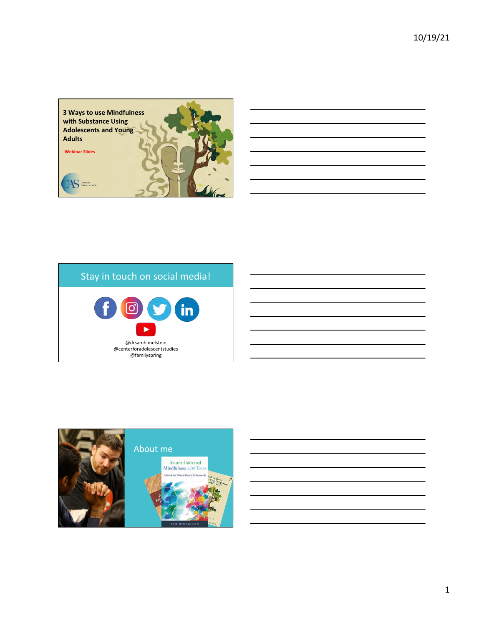

# Stay in touch on social media!



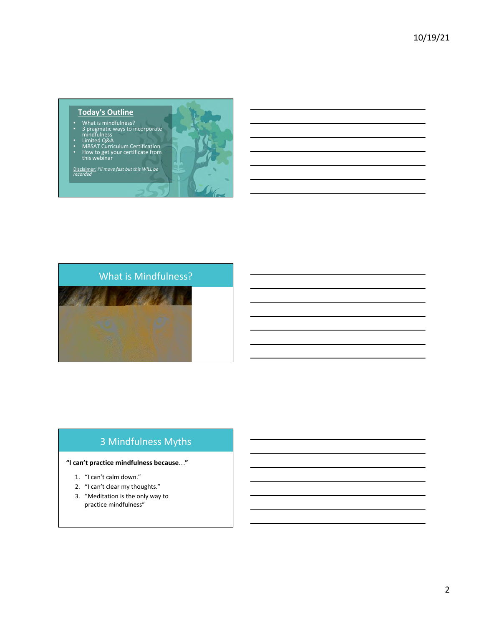#### **Today's Outline**

- What is mindfulness?<br>• 3 pragmatic ways to incorporate
- 
- 
- mindfulness<br>• Limited Q&A<br>• MBSAT Curriculum Certification<br>• How to get your certificate from<br>this webinar

Disclaimer: *I'll move fast but this WILL be*<br>*recorded* 





## 3 Mindfulness Myths

#### **"I can't practice mindfulness because…"**

- 1. "I can't calm down."
- 2. "I can't clear my thoughts."
- 3. "Meditation is the only way to practice mindfulness"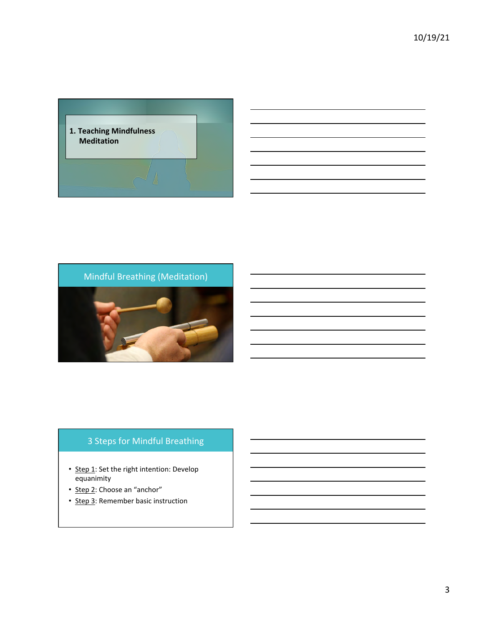



## 3 Steps for Mindful Breathing

- Step 1: Set the right intention: Develop equanimity
- Step 2: Choose an "anchor"
- Step 3: Remember basic instruction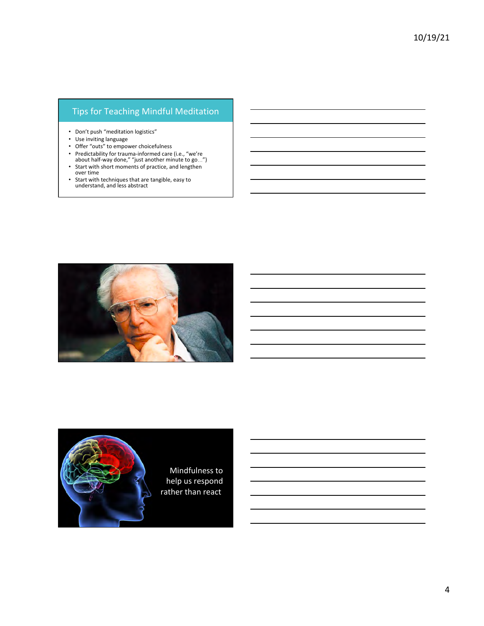## Tips for Teaching Mindful Meditation

- Don't push "meditation logistics"
- Use inviting language
- Offer "outs" to empower choicefulness
- Predictability for trauma-informed care (i.e., "we're about half-way done," "just another minute to go...")
- Start with short moments of practice, and lengthen
- over time
- Start with techniques that are tangible, easy to understand, and less abstract



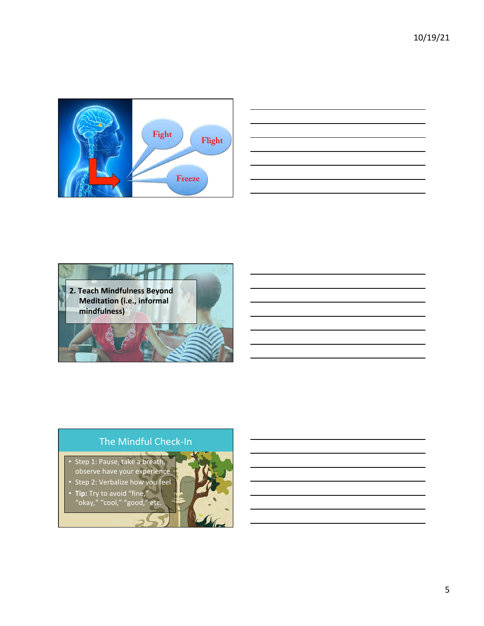

| <u> 1989 - Johann Stoff, amerikansk politiker (d. 1989)</u>                                                                                                                                                                   |  |  |                          |  |
|-------------------------------------------------------------------------------------------------------------------------------------------------------------------------------------------------------------------------------|--|--|--------------------------|--|
|                                                                                                                                                                                                                               |  |  | <b>Contract Contract</b> |  |
|                                                                                                                                                                                                                               |  |  |                          |  |
| the control of the control of the control of the control of the control of the control of the control of the control of the control of the control of the control of the control of the control of the control of the control |  |  |                          |  |
| <u> 1989 - Andrea Andrew Maria (h. 1989).</u>                                                                                                                                                                                 |  |  |                          |  |
|                                                                                                                                                                                                                               |  |  |                          |  |
|                                                                                                                                                                                                                               |  |  |                          |  |
|                                                                                                                                                                                                                               |  |  |                          |  |



# The Mindful Check-In

• Step 1: Pause, take a breath, observe have your experience

• Step 2: Verbalize how you feel Tip: Try to avoid "fine,"

"okay," "cool," "good," etc.

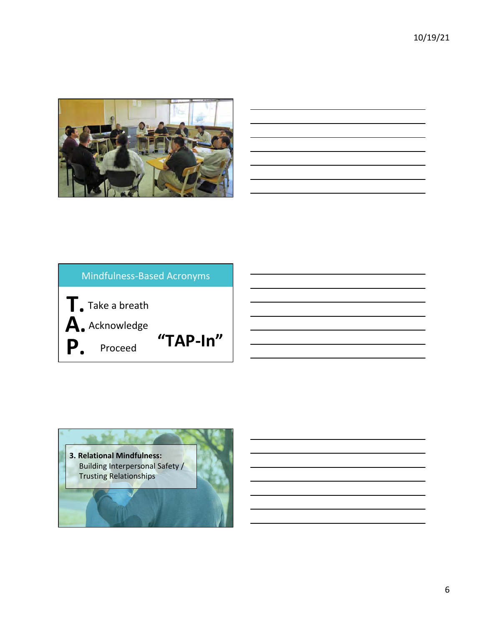



<u> 1980 - Johann Barn, mars an t-Amerikaansk kommunister (</u> <u> 1989 - Johann Barbara, martxa a</u>

| <b>Mindfulness-Based Acronyms</b> |  |  |  |  |  |  |  |  |
|-----------------------------------|--|--|--|--|--|--|--|--|
| "TAP- $In"$                       |  |  |  |  |  |  |  |  |
|                                   |  |  |  |  |  |  |  |  |

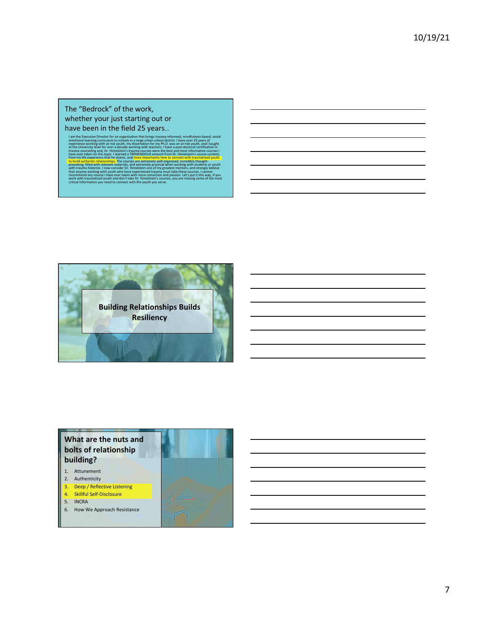#### The "Bedrock" of the work, whether your just starting out or have been in the field 25 years...

I am the Executive Direction of a organization that brings trauma-informed, mindfulness-based, social<br>emotional learning curriculum to schools in a large urban school district. I have over 25 years of<br>experience working wi



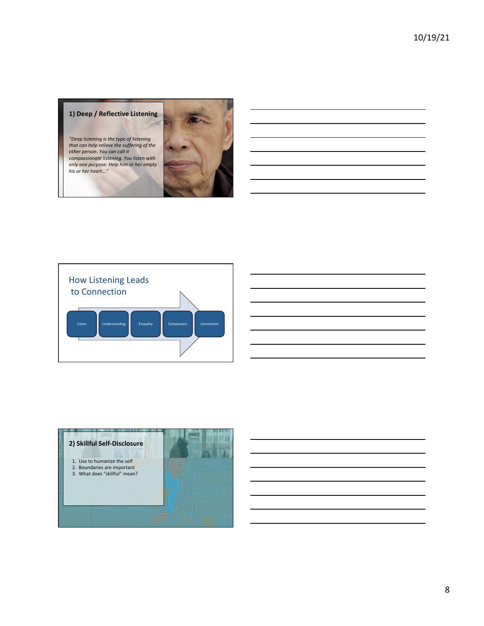#### **1) Deep / Reflective Listening**

*"Deep listening is the type of listening that can help relieve the suffering of the*  other person. You can call it *compassionate listening. You listen with*  only one purpose. Help him or her empty his or her heart..."





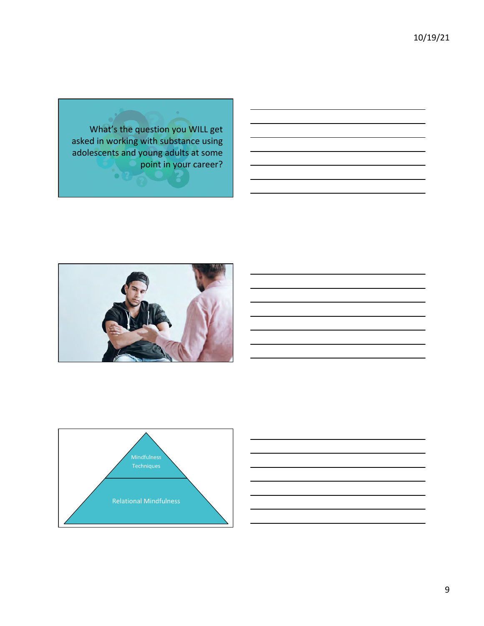What's the question you WILL get asked in working with substance using adolescents and young adults at some point in your career?





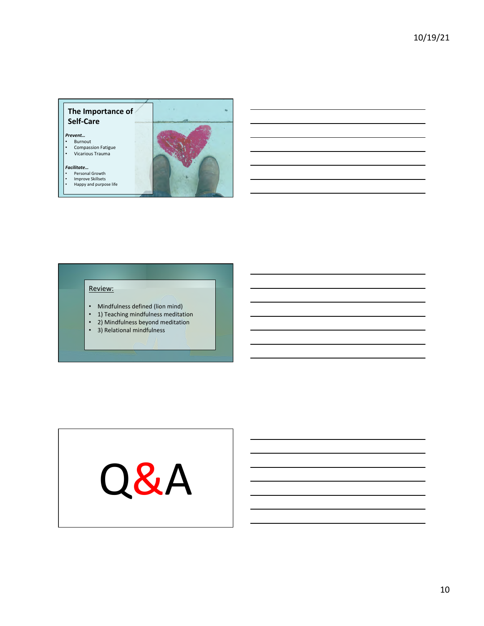#### **The Importance of Self-Care**

*Prevent…* 

- Burnout • Compassion Fatigue
- Vicarious Trauma
- *Facilitate…*
- Personal Growth • Improve Skillsets
- Happy and purpose life



 $\bar{\epsilon}$  ,

#### Review:

- Mindfulness defined (lion mind)
- 1) Teaching mindfulness meditation
- 2) Mindfulness beyond meditation
- 3) Relational mindfulness

# Q&A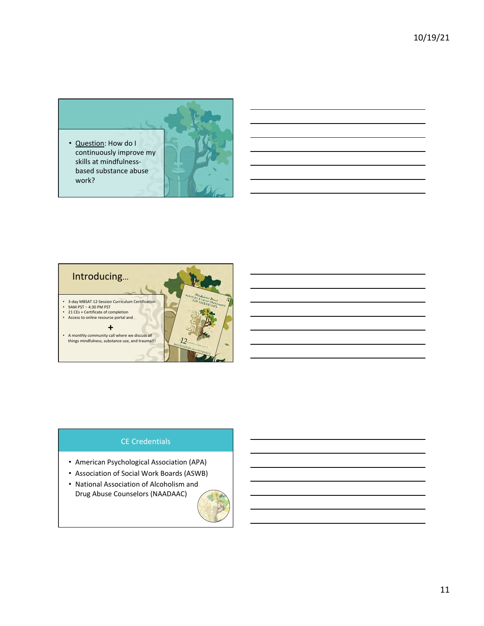• Question: How do I continuously improve my skills at mindfulnessbased substance abuse work?





### CE Credentials

- American Psychological Association (APA)
- Association of Social Work Boards (ASWB)
- National Association of Alcoholism and Drug Abuse Counselors (NAADAAC)